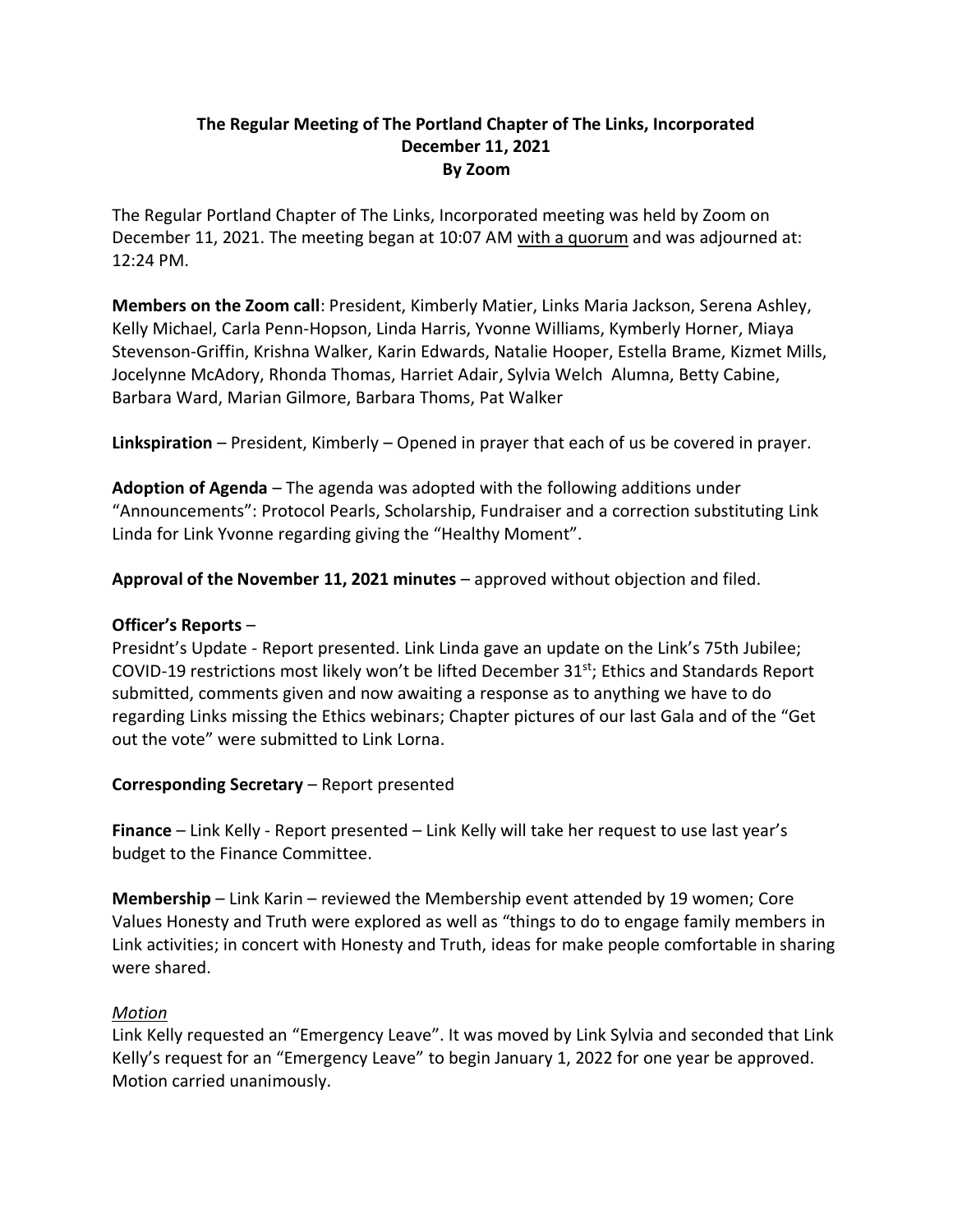## **The Regular Meeting of The Portland Chapter of The Links, Incorporated December 11, 2021 By Zoom**

The Regular Portland Chapter of The Links, Incorporated meeting was held by Zoom on December 11, 2021. The meeting began at 10:07 AM with a quorum and was adjourned at: 12:24 PM.

**Members on the Zoom call**: President, Kimberly Matier, Links Maria Jackson, Serena Ashley, Kelly Michael, Carla Penn-Hopson, Linda Harris, Yvonne Williams, Kymberly Horner, Miaya Stevenson-Griffin, Krishna Walker, Karin Edwards, Natalie Hooper, Estella Brame, Kizmet Mills, Jocelynne McAdory, Rhonda Thomas, Harriet Adair, Sylvia Welch Alumna, Betty Cabine, Barbara Ward, Marian Gilmore, Barbara Thoms, Pat Walker

**Linkspiration** – President, Kimberly – Opened in prayer that each of us be covered in prayer.

**Adoption of Agenda** – The agenda was adopted with the following additions under "Announcements": Protocol Pearls, Scholarship, Fundraiser and a correction substituting Link Linda for Link Yvonne regarding giving the "Healthy Moment".

**Approval of the November 11, 2021 minutes** – approved without objection and filed.

## **Officer's Reports** –

Presidnt's Update - Report presented. Link Linda gave an update on the Link's 75th Jubilee; COVID-19 restrictions most likely won't be lifted December 31<sup>st</sup>; Ethics and Standards Report submitted, comments given and now awaiting a response as to anything we have to do regarding Links missing the Ethics webinars; Chapter pictures of our last Gala and of the "Get out the vote" were submitted to Link Lorna.

## **Corresponding Secretary** – Report presented

**Finance** – Link Kelly - Report presented – Link Kelly will take her request to use last year's budget to the Finance Committee.

**Membership** – Link Karin – reviewed the Membership event attended by 19 women; Core Values Honesty and Truth were explored as well as "things to do to engage family members in Link activities; in concert with Honesty and Truth, ideas for make people comfortable in sharing were shared.

## *Motion*

Link Kelly requested an "Emergency Leave". It was moved by Link Sylvia and seconded that Link Kelly's request for an "Emergency Leave" to begin January 1, 2022 for one year be approved. Motion carried unanimously.